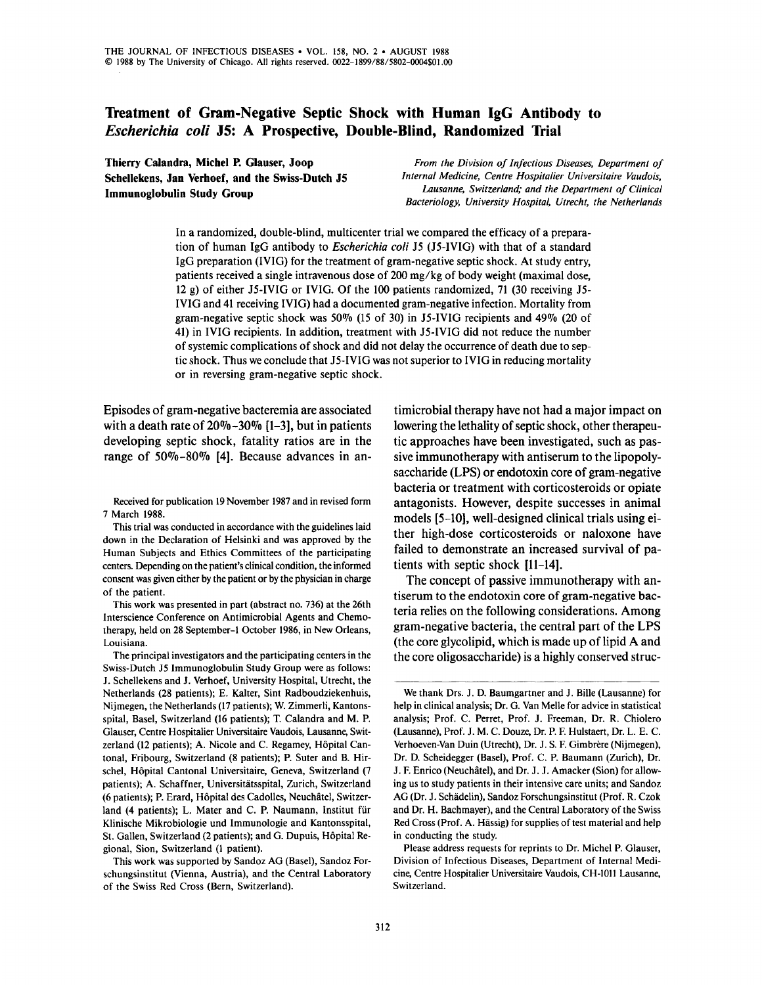# Treatment of Gram-Negative Septic Shock with Human IgG Antibody to *Escherichia coli* J5: A Prospective, Double-Blind, Randomized Trial

Thierry Calandra, Michel P. Glauser, Joop Schellekens, Jan Verhoef, and the Swiss-Dutch J5 Immunoglobulin Study Group

*From the Division of Infectious Diseases, Department of Internal Medicine, Centre Hospitalier Universitaire Vaudois, Lausanne, Switzer/and; and the Department of Clinical Bacteriology, University Hospital, Utrecht, the Netherlands*

In a randomized, double-blind, multicenter trial we compared the efficacy of a preparation of human IgG antibody to *Escherichia coli* 15 (15-IVIG) with that of a standard IgG preparation (IVIG) for the treatment of gram-negative septic shock. At study entry, patients received a single intravenous dose of 200 mg/kg of body weight (maximal dose, 12 g) of either 15-IVIG or IVIG. Of the 100 patients randomized, 71 (30 receiving 15- IVIG and 41 receiving IVIG) had a documented gram-negative infection. Mortality from gram-negative septic shock was  $50\%$  (15 of 30) in J5-IVIG recipients and 49% (20 of 41) in IVIG recipients. In addition, treatment with 15-IVIG did not reduce the number of systemic complications of shock and did not delay the occurrence of death due to septic shock. Thus weconclude that 15-IVIG was not superior to IVIG in reducing mortality or in reversing gram-negative septic shock.

Episodes of gram-negative bacteremia are associated with a death rate of  $20\% - 30\%$  [1-3], but in patients developing septic shock, fatality ratios are in the range of  $50\% - 80\%$  [4]. Because advances in an-

Received for publication 19 November 1987 and in revised form 7 March 1988.

This trial was conducted in accordance with the guidelines laid down in the Declaration of Helsinki and was approved by the Human Subjects and Ethics Committees of the participating centers. Depending on the patient's clinical condition, the informed consent was given either by the patient or by the physician in charge of the patient.

This work was presented in part (abstract no. 736) at the 26th Interscience Conference on Antimicrobial Agents and Chemotherapy, held on 28 September-l October 1986, in New Orleans, Louisiana.

The principal investigators and the participating centers in the Swiss-Dutch J5 Immunoglobulin Study Group were as follows: J. Schellekens and J. Verhoef, University Hospital, Utrecht, the Netherlands (28 patients); E. Kalter, Sint Radboudziekenhuis, Nijmegen, the Netherlands (17 patients); W. Zimmerli, Kantonsspital, Basel, Switzerland (16 patients); T. Calandra and M. P. Glauser, Centre Hospitalier Universitaire Vaudois, Lausanne, Switzerland (12 patients); A. Nicole and C. Regamey, Hôpital Cantonal, Fribourg, Switzerland (8 patients); P. Suter and B. Hirschel, Hopital Cantonal Universitaire, Geneva, Switzerland (7 patients); A. Schaffner, Universitätsspital, Zurich, Switzerland (6 patients); P. Erard, H6pital des Cadolles, Neuchatel, Switzerland (4 patients); L. Mater and C. P. Naumann, Institut für Klinische Mikrobiologie und Immunologie and Kantonsspital, St. Gallen, Switzerland (2 patients); and G. Dupuis, Hôpital Regional, Sion, Switzerland (I patient).

timicrobial therapy have not had a major impact on lowering the lethality of septic shock, other therapeutic approaches have been investigated, such as passive immunotherapy with antiserum to the lipopolysaccharide (LPS) or endotoxin core of gram-negative bacteria or treatment with corticosteroids or opiate antagonists. However, despite successes in animal models [5-10], well-designed clinical trials using either high-dose corticosteroids or naloxone have failed to demonstrate an increased survival of patients with septic shock [11-14].

The concept of passive immunotherapy with antiserum to the endotoxin core of gram-negative bacteria relies on the following considerations. Among gram-negative bacteria, the central part of the LPS (the core glycolipid, which is made up of lipid A and the core oligosaccharide) is a highly conserved struc-

This work was supported by Sandoz AG (Basel), Sandoz Forschungsinstitut (Vienna, Austria), and the Central Laboratory of the Swiss Red Cross (Bern, Switzerland).

We thank Drs. J. D. Baumgartner and J. Bille (Lausanne) for help in clinical analysis; Dr. G. Van Melle for advice in statistical analysis; Prof. C. Perret, Prof. J. Freeman, Dr. R. Chiolero (Lausanne), Prof. J. M. C. Douze, Dr. P. F. Hulstaert, Dr. L. E. C. Verhoeven-Van Duin (Utrecht), Dr. J. S. F. Gimbrère (Nijmegen), Dr. D. Scheidegger (Basel), Prof. C. P. Baumann (Zurich), Dr. J. F.Enrico (Neuchatel), and Dr. J. J. Amacker (Sion) for allowing us to study patients in their intensive care units; and Sandoz AG (Dr. J. Schadelin), Sandoz Forschungsinstitut (Prof. R. Czok and Dr. H. Bachmayer), and the Central Laboratory of the Swiss Red Cross (Prof. A. Hassig) for supplies of test material and help in conducting the study.

Please address requests for reprints to Dr. Michel P. Glauser, Division of Infectious Diseases, Department of Internal Medicine, Centre Hospitalier Universitaire Vaudois, CH-1011 Lausanne, Switzerland.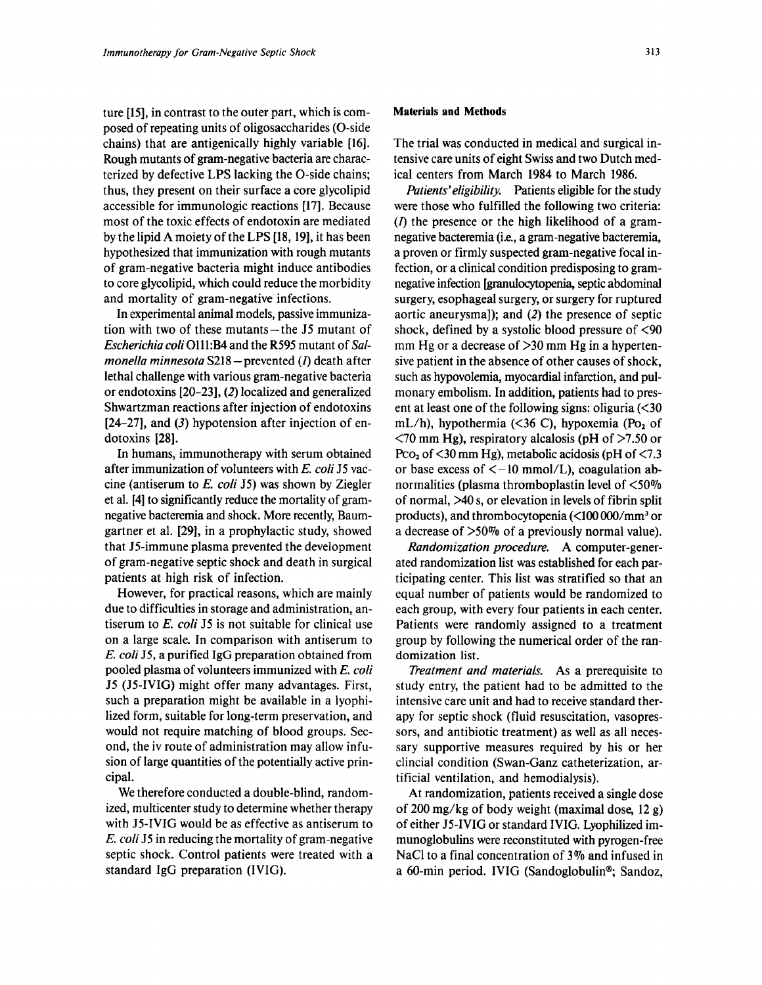ture [15], in contrast to the outer part, which is composed of repeating units of oligosaccharides (O-side chains) that are antigenically highly variable [16]. Rough mutants of gram-negative bacteria are characterized by defective LPS lacking the O-side chains; thus, they present on their surface a core glycolipid accessible for immunologic reactions [17]. Because most of the toxic effects of endotoxin are mediated by the lipid A moiety of the LPS [18, 19], it has been hypothesized that immunization with rough mutants of gram-negative bacteria might induce antibodies to core glycolipid, which could reduce the morbidity and mortality of gram-negative infections.

In experimental animal models, passive immunization with two of these mutants-the J5 mutant of *Escherichia coli*0111:B4and the R595 mutant of *Salmonella minnesota* S218 – prevented (*I*) death after lethal challenge with various gram-negative bacteria or endotoxins [20-23], (2)localized and generalized Shwartzman reactions after injection of endotoxins  $[24-27]$ , and  $(3)$  hypotension after injection of endotoxins [28].

In humans, immunotherapy with serum obtained after immunization of volunteers with E. *coli*J5 vaccine (antiserum to *E. coli*J5) was shown by Ziegler et al. [4] to significantly reduce the mortality of gramnegative bacteremia and shock. More recently, Baumgartner et al. [29], in a prophylactic study, showed that J5-immune plasma prevented the development of gram-negative septic shock and death in surgical patients at high risk of infection.

However, for practical reasons, which are mainly due to difficulties in storage and administration, antiserum to *E. coli*J5 is not suitable for clinical use on a large scale. In comparison with antiserum to E. *coli*15, a purified IgG preparation obtained from pooled plasma of volunteers immunized with E. *coli* J5 (J5-IVIG) might offer many advantages. First, such a preparation might be available in a lyophilized form, suitable for long-term preservation, and would not require matching of blood groups. Second, the iv route of administration may allow infusion of large quantities of the potentially active principal.

We therefore conducted a double-blind, randomized, multicenter study to determine whether therapy with J5-IVIG would be as effective as antiserum to *E. coli*J5 in reducing the mortality of gram-negative septic shock. Control patients were treated with a standard IgG preparation (lVIG).

### Materials and Methods

The trial was conducted in medical and surgical intensive care units of eight Swiss and two Dutch medical centers from March 1984 to March 1986.

*Patients'eligibility.* Patients eligible for the study were those who fulfilled the following two criteria:  $(1)$  the presence or the high likelihood of a gramnegative bacteremia (i,e., a gram-negative bacteremia, a proven or firmly suspected gram-negative focal infection, or a clinical condition predisposing to gramnegative infection [granulocytopenia, septic abdominal surgery, esophageal surgery, or surgery for ruptured aortic aneurysmal); and (2) the presence of septic shock, defined by a systolic blood pressure of <90 mm Hg or a decrease of  $>$ 30 mm Hg in a hypertensive patient in the absence of other causes of shock, such as hypovolemia, myocardial infarction, and pulmonary embolism. In addition, patients had to present at least one of the following signs: oliguria  $\left( \langle 30 \rangle \right)$ mL/h), hypothermia (<36 C), hypoxemia (Po<sub>2</sub> of <70 mm Hg), respiratory alcalosis (pH of >7.50 or Pco<sub>2</sub> of  $\leq$ 30 mm Hg), metabolic acidosis (pH of  $\leq$ 7.3 or base excess of  $\leq -10 \text{ mmol/L}$ , coagulation abnormalities (plasma thromboplastin level of *<50070* of normal,  $>40$  s, or elevation in levels of fibrin split products), and thrombocytopenia  $\left($  < 100 000/mm<sup>3</sup> or a decrease of >50% of a previously normal value).

*Randomization procedure.* A computer-generated randomization list was established for each participating center. This list was stratified so that an equal number of patients would be randomized to each group, with every four patients in each center. Patients were randomly assigned to a treatment group by following the numerical order of the randomization list.

*Treatment and materials.* As a prerequisite to study entry, the patient had to be admitted to the intensive care unit and had to receive standard therapy for septic shock (fluid resuscitation, vasopressors, and antibiotic treatment) as well as all necessary supportive measures required by his or her clincial condition (Swan-Ganz catheterization, artificial ventilation, and hemodialysis).

At randomization, patients received a single dose of 200 mg/kg of body weight (maximal dose, 12 g) of either J5-IVIG or standard IVIG. Lyophilized immunoglobulins were reconstituted with pyrogen-free NaCl to a final concentration of 3% and infused in a 60-min period. IVIG (Sandoglobulin<sup>®</sup>; Sandoz,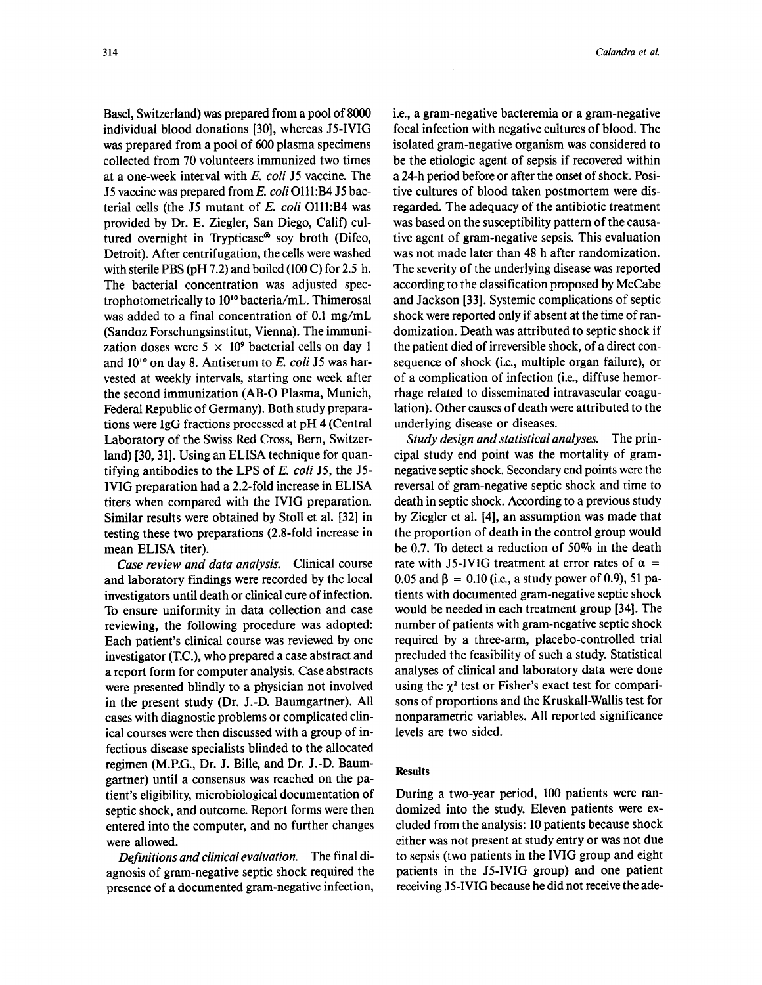Basel, Switzerland) was prepared from a pool of 8000 individual blood donations [30], whereas J5-IVIG was prepared from a pool of 600 plasma specimens collected from 70 volunteers immunized two times at a one-week interval with E. *coli*J5 vaccine. The J5 vaccine was prepared fromE. *coli*01l1:B4 J5 bacterial cells (the J5 mutant of E. *coli* 01l1:B4 was provided by Dr. E. Ziegler, San Diego, Calif) cultured overnight in Trypticase<sup>®</sup> soy broth (Difco, Detroit). After centrifugation, the cells were washed with sterile PBS (pH 7.2) and boiled (100 C) for 2.5 h. The bacterial concentration was adjusted spectrophotometrically to 10<sup>10</sup> bacteria/mL. Thimerosal was added to a final concentration of 0.1 mg/mL (Sandoz Forschungsinstitut, Vienna). The immunization doses were  $5 \times 10^9$  bacterial cells on day 1 and 1010 on day 8. Antiserum to *E. coli*J5 was harvested at weekly intervals, starting one week after the second immunization (AB-O Plasma, Munich, Federal Republic of Germany). Both study preparations were IgG fractions processed at pH 4 (Central Laboratory of the Swiss Red Cross, Bern, Switzerland) [30,31]. Using an ELISA technique for quantifying antibodies to the LPS of E. *coli*J5, the J5- IVIG preparation had a 2.2-fold increase in ELISA titers when compared with the IVIG preparation. Similar results were obtained by Stoll et al. [32] in testing these two preparations (2.8-fold increase in mean ELISA titer).

*Case review and data analysis.* Clinical course and laboratory findings were recorded by the local investigators until death or clinical cure of infection. To ensure uniformity in data collection and case reviewing, the following procedure was adopted: Each patient's clinical course was reviewed by one investigator (T.C.), who prepared a case abstract and a report form for computer analysis. Case abstracts were presented blindly to a physician not involved in the present study (Dr. J.-D. Baumgartner). All cases with diagnostic problems or complicated clinical courses were then discussed with a group of infectious disease specialists blinded to the allocated regimen (M.P.G., Dr. J. Bille, and Dr. J.-D. Baumgartner) until a consensus was reached on the patient's eligibility, microbiological documentation of septic shock, and outcome. Report forms were then entered into the computer, and no further changes were allowed.

*Definitions and clinical evaluation.* The final diagnosis of gram-negative septic shock required the presence of a documented gram-negative infection,

i.e., a gram-negative bacteremia or a gram-negative focal infection with negative cultures of blood. The isolated gram-negative organism was considered to be the etiologic agent of sepsis if recovered within a 24-h period before or after the onset of shock. Positive cultures of blood taken postmortem were disregarded. The adequacy of the antibiotic treatment was based on the susceptibility pattern of the causative agent of gram-negative sepsis. This evaluation was not made later than 48 h after randomization. The severity of the underlying disease was reported according to the classification proposed by McCabe and Jackson [33]. Systemic complications of septic shock were reported only if absent at the time of randomization. Death was attributed to septic shock if the patient died of irreversibleshock, of a direct consequence of shock (i.e., multiple organ failure), or of a complication of infection (i.e., diffuse hemorrhage related to disseminated intravascular coagulation). Other causes of death were attributed to the underlying disease or diseases.

*Study design and statistical analyses.* The principal study end point was the mortality of gramnegative septic shock. Secondary end points were the reversal of gram-negative septic shock and time to death in septic shock. According to a previous study by Ziegler et al. [4], an assumption was made that the proportion of death in the control group would be 0.7. To detect a reduction of *50070* in the death rate with J5-IVIG treatment at error rates of  $\alpha$  = 0.05 and  $\beta = 0.10$  (i.e., a study power of 0.9), 51 patients with documented gram-negative septic shock would be needed in each treatment group [34]. The number of patients with gram-negative septic shock required by a three-arm, placebo-controlled trial precluded the feasibility of such a study. Statistical analyses of clinical and laboratory data were done using the  $\chi^2$  test or Fisher's exact test for comparisons of proportions and the Kruskall-Wallis test for nonparametric variables. All reported significance levels are two sided.

## Results

During a two-year period, 100 patients were randomized into the study. Eleven patients were excluded from the analysis: 10 patients because shock either was not present at study entry or was not due to sepsis (two patients in the IVIG group and eight patients in the J5-IVIG group) and one patient receiving J5-IVIG because he did not receive the ade-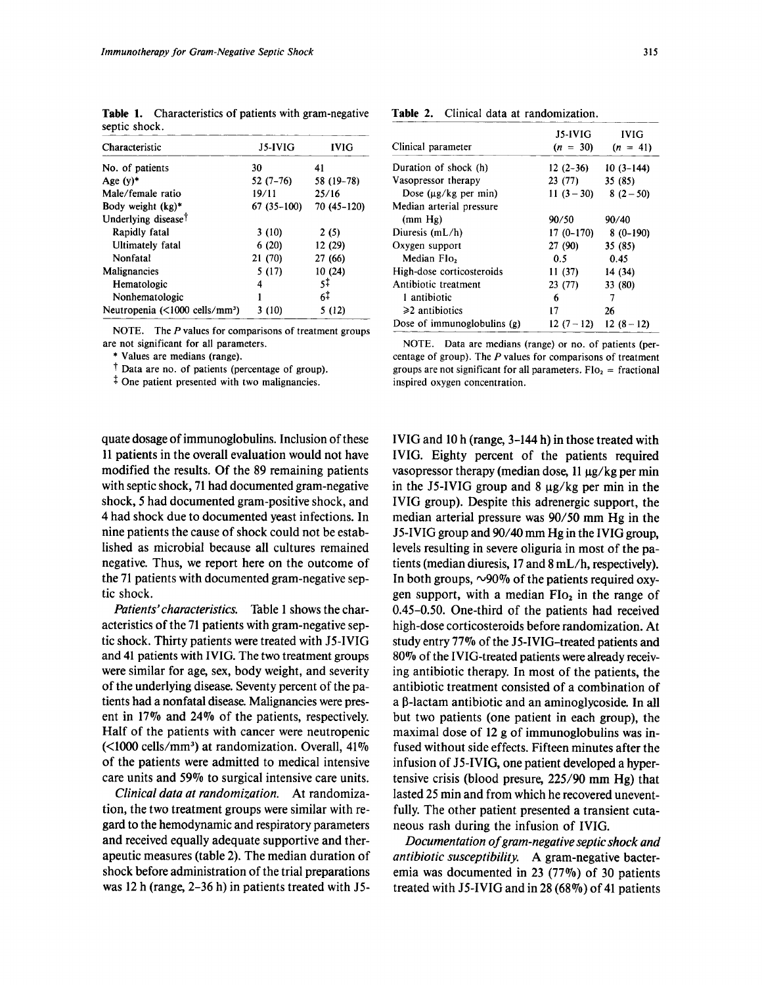| Characteristic                             | <b>J5-IVIG</b> | IVIG           |  |
|--------------------------------------------|----------------|----------------|--|
| No. of patients                            | 30             | 41             |  |
| Age $(y)^*$                                | $52(7-76)$     | 58 (19-78)     |  |
| Male/female ratio                          | 19/11          | 25/16          |  |
| Body weight (kg)*                          | $67(35-100)$   | $70(45 - 120)$ |  |
| Underlying disease <sup>†</sup>            |                |                |  |
| Rapidly fatal                              | 3 (10)         | 2(5)           |  |
| Ultimately fatal                           | 6(20)          | 12 (29)        |  |
| Nonfatal                                   | 21 (70)        | 27 (66)        |  |
| Malignancies                               | 5(17)          | 10(24)         |  |
| Hematologic                                | 4              | 5‡             |  |
| Nonhematologic                             |                | 6‡             |  |
| Neutropenia (<1000 cells/mm <sup>3</sup> ) | 3 (10)         | 5 (12)         |  |

Table 1. Characteristics of patients with gram-negative septic shock.

NOTE. The P values for comparisons of treatment groups are not significant for all parameters.

\* Values are medians (range).

t Data are no. of patients (percentage of group).

 $\ddagger$  One patient presented with two malignancies.

quate dosage of immunoglobulins. Inclusion of these 11 patients in the overall evaluation would not have modified the results. Of the 89 remaining patients with septic shock, 71 had documented gram-negative shock, 5 had documented gram-positive shock, and 4 had shock due to documented yeast infections. In nine patients the cause of shock could not be established as microbial because all cultures remained negative. Thus, we report here on the outcome of the 71 patients with documented gram-negative septic shock.

*Patients' characteristics.* Table 1shows the characteristics of the 71 patients with gram-negative septic shock. Thirty patients were treated with J5-IVIG and 41 patients with IVIG. The two treatment groups were similar for age, sex, body weight, and severity of the underlying disease. Seventy percent of the patients had a nonfatal disease. Malignancies were present in  $17\%$  and  $24\%$  of the patients, respectively. Half of the patients with cancer were neutropenic  $\left(\frac{1000 \text{ cells/mm}}{3}\right)$  at randomization. Overall, 41% of the patients were admitted to medical intensive care units and 59% to surgical intensive care units.

*Clinical data at randomization.* At randomization, the two treatment groups were similar with regard to the hemodynamic and respiratory parameters and received equally adequate supportive and therapeutic measures (table 2). The median duration of shock before administration of the trial preparations was 12h (range, 2-36 h) in patients treated with J5Duration of shock (h) 12 (2-36) 10 (3-144) Vasopressor therapy 23 (77) 35 (85) Dose ( $\mu$ g/kg per min)  $11 (3-30) 8 (2-50)$ Median arterial pressure (mm Hg) 90/50 90/40 Diuresis (mL/h) 17 (0-170) 8 (0-190) Oxygen support 27 (90) 35 (85) Median  $F10<sub>2</sub>$  0.5 0.45 High-dose corticosteroids 11 (37) 14 (34)

Clinical parameter  $(n = 30)$   $(n = 41)$ 

1 antibiotic 6 7  $\geq 2$  antibiotics 17 26 Dose of immunoglobulins (g)  $12 (7-12) 12 (8-12)$ NOTE. Data are medians (range) or no. of patients (per-

Antibiotic treatment 23 (77) 33 (80)

centage of group). The  $P$  values for comparisons of treatment groups are not significant for all parameters.  $F1o_2 =$  fractional inspired oxygen concentration.

IVIG and 10h (range, 3-144 h) in those treated with IVIG. Eighty percent of the patients required vasopressor therapy (median dose, 11 ug/kg per min in the J5-IVIG group and 8 ug/kg per min in the IVIG group). Despite this adrenergic support, the median arterial pressure was 90/50 mm Hg in the J5-IVIG group and 90/40 mm Hg in the IVIG group, levels resulting in severe oliguria in most of the patients (median diuresis, 17 and 8 mL/h, respectively). In both groups,  $\sim$ 90% of the patients required oxygen support, with a median  $FIO<sub>2</sub>$  in the range of 0.45-0.50. One-third of the patients had received high-dose corticosteroids before randomization. At study entry 77% of the J5-IVIG-treated patients and 80% of the IVIG-treated patients were already receiving antibiotic therapy. In most of the patients, the antibiotic treatment consisted of a combination of a  $\beta$ -lactam antibiotic and an aminoglycoside. In all but two patients (one patient in each group), the maximal dose of 12 g of immunoglobulins was infused without side effects. Fifteen minutes after the infusion of J5-IVIG, one patient developed a hypertensive crisis (blood presure, 225/90 mm Hg) that lasted 25 min and from which he recovered uneventfully. The other patient presented a transient cutaneous rash during the infusion of IVIG.

*Documentation ofgram-negative septic shockand antibiotic susceptibility.* A gram-negative bacteremia was documented in 23 (77%) of 30 patients treated with J5-IVIG and in 28 (68%) of 41 patients

J5-IVIG IVIG

Table 2. Clinical data at randomization.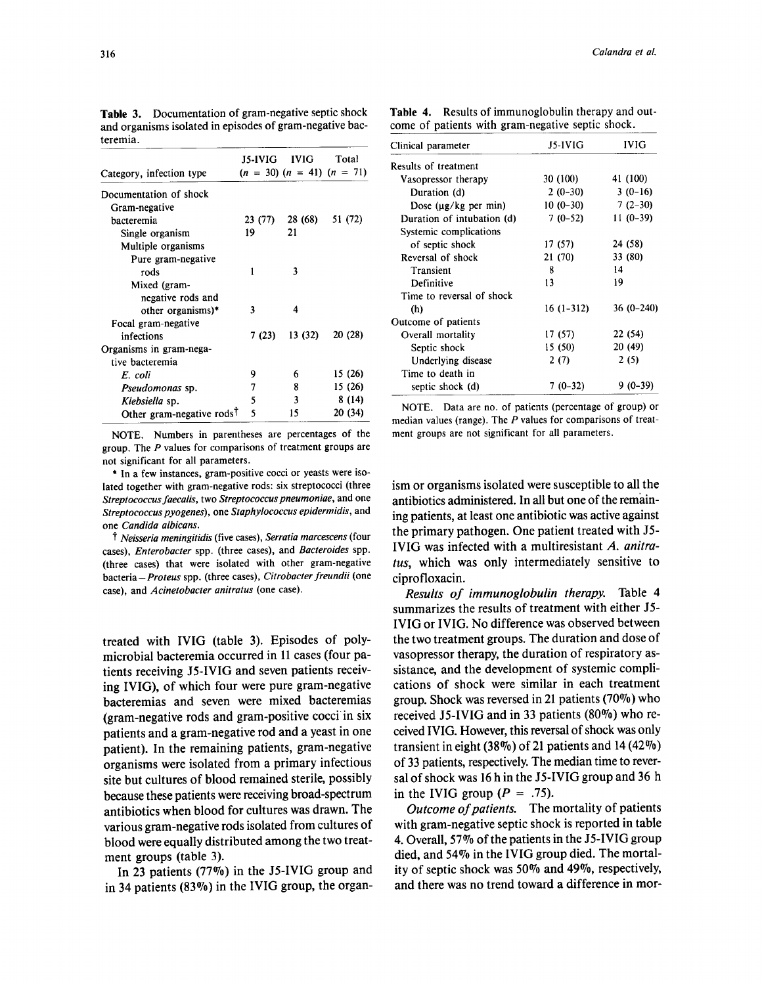| Category, infection type              |         | J5-IVIG IVIG<br>$(n = 30)$ $(n = 41)$ $(n = 71)$ | Total   |
|---------------------------------------|---------|--------------------------------------------------|---------|
| Documentation of shock                |         |                                                  |         |
| Gram-negative                         |         |                                                  |         |
| hacteremia                            | 23 (77) | 28 (68)                                          | 51 (72) |
| Single organism                       | 19      | 21                                               |         |
| Multiple organisms                    |         |                                                  |         |
| Pure gram-negative                    |         |                                                  |         |
| rods                                  | 1       | 3                                                |         |
| Mixed (gram-                          |         |                                                  |         |
| negative rods and                     |         |                                                  |         |
| other organisms)*                     | 3       | 4                                                |         |
| Focal gram-negative                   |         |                                                  |         |
| infections                            | 7(23)   | 13(32)                                           | 20 (28) |
| Organisms in gram-nega-               |         |                                                  |         |
| tive bacteremia                       |         |                                                  |         |
| E. coli                               | 9       | 6                                                | 15 (26) |
| Pseudomonas sp.                       | 7       | 8                                                | 15 (26) |
| Klebsiella sp.                        | 5       | 3                                                | 8(14)   |
| Other gram-negative rods <sup>T</sup> | 5       | 15                                               | 20 (34) |

**Table** 3. Documentation of gram-negative septic shock and organisms isolated in episodes of gram-negative bacteremia.

NOTE. Numbers in parentheses are percentages of the group. The  $P$  values for comparisons of treatment groups are not significant for all parameters.

\* In a few instances, gram-positive cocci or yeasts were isolated together with gram-negative rods: six streptococci (three *Streptococcusfaecalis,* two *Streptococcus pneumoniae,* and one *Streptococcus pyogenes)*, one *Staphylococcus epidermidis,* and one *Candida albicans.*

t *Neisseria meningitidis* (five cases), *Serratia marcescens* (four cases), *Enterobacter* spp. (three cases), and *Bacteroides* spp. (three cases) that were isolated with other gram-negative *bacteria-Proteus* spp. (three cases), *Citrobacter freundii* (one case), and *Acinetobacter anitratus* (one case).

treated with IVIG (table 3). Episodes of polymicrobial bacteremia occurred in 11 cases (four patients receiving J5-IVIG and seven patients receiving IVIG), of which four were pure gram-negative bacteremias and seven were mixed bacteremias (gram-negative rods and gram-positive cocci in six patients and a gram-negative rod and a yeast in one patient). In the remaining patients, gram-negative organisms were isolated from a primary infectious site but cultures of blood remained sterile, possibly because these patients were receiving broad-spectrum antibiotics when blood for cultures was drawn. The various gram-negative rods isolated from cultures of blood were equally distributed among the two treatment groups (table 3).

In 23 patients  $(77\%)$  in the J5-IVIG group and in 34 patients (83%) in the IVIG group, the organ-

| Clinical parameter         | <b>J5-IVIG</b> | IVIG        |
|----------------------------|----------------|-------------|
| Results of treatment       |                |             |
| Vasopressor therapy        | 30 (100)       | 41 (100)    |
| Duration (d)               | $2(0-30)$      | $3(0-16)$   |
| Dose $(\mu g/kg$ per min)  | $10(0-30)$     | $7(2-30)$   |
| Duration of intubation (d) | $7(0-52)$      | $11(0-39)$  |
| Systemic complications     |                |             |
| of septic shock            | 17(57)         | 24 (58)     |
| Reversal of shock          | 21 (70)        | 33 (80)     |
| Transient                  | 8              | 14          |
| Definitive                 | 13             | 19          |
| Time to reversal of shock  |                |             |
| (h)                        | 16 (1–312)     | $36(0-240)$ |
| Outcome of patients        |                |             |
| Overall mortality          | 17 (57)        | 22 (54)     |
| Septic shock               | 15 (50)        | 20 (49)     |
| Underlying disease         | 2(7)           | 2(5)        |
| Time to death in           |                |             |
| septic shock (d)           | $7(0-32)$      | 9 (0–39)    |

**Table** 4. Results of immunoglobulin therapy and outcome of patients with gram-negative septic shock.

NOTE. Data are no. of patients (percentage of group) or median values (range). The *P* values for comparisons of treatment groups are not significant for all parameters.

ism or organisms isolated were susceptible to all the antibiotics administered. In all but one of the remaining patients, at least one antibiotic was active against the primary pathogen. One patient treated with J5- IVIG was infected with a multiresistant A. *anitratus,* which was only intermediately sensitive to ciprofloxacin.

*Results of immunoglobulin therapy.* Table 4 summarizes the results of treatment with either J5- IVIG or IVIG. No difference was observed between the two treatment groups. The duration and dose of vasopressor therapy, the duration of respiratory assistance, and the development of systemic complications of shock were similar in each treatment group. Shock was reversed in 21 patients  $(70\%)$  who received J5-IVIG and in 33 patients (80%) who receivedIVIG. However, this reversalof shock wasonly transient in eight (38%) of 21 patients and 14 (42%) of 33 patients, respectively. The median time to reversal of shock was 16 h in the J5-IVIG group and 36 h in the IVIG group ( $P = .75$ ).

**Outcome** of patients. The mortality of patients with gram-negative septic shock is reported in table 4. Overall, 57% of the patients in the J5-IVIG group died, and 54% in the IVIG group died. The mortality of septic shock was 50% and 49%, respectively, and there was no trend toward a difference in mor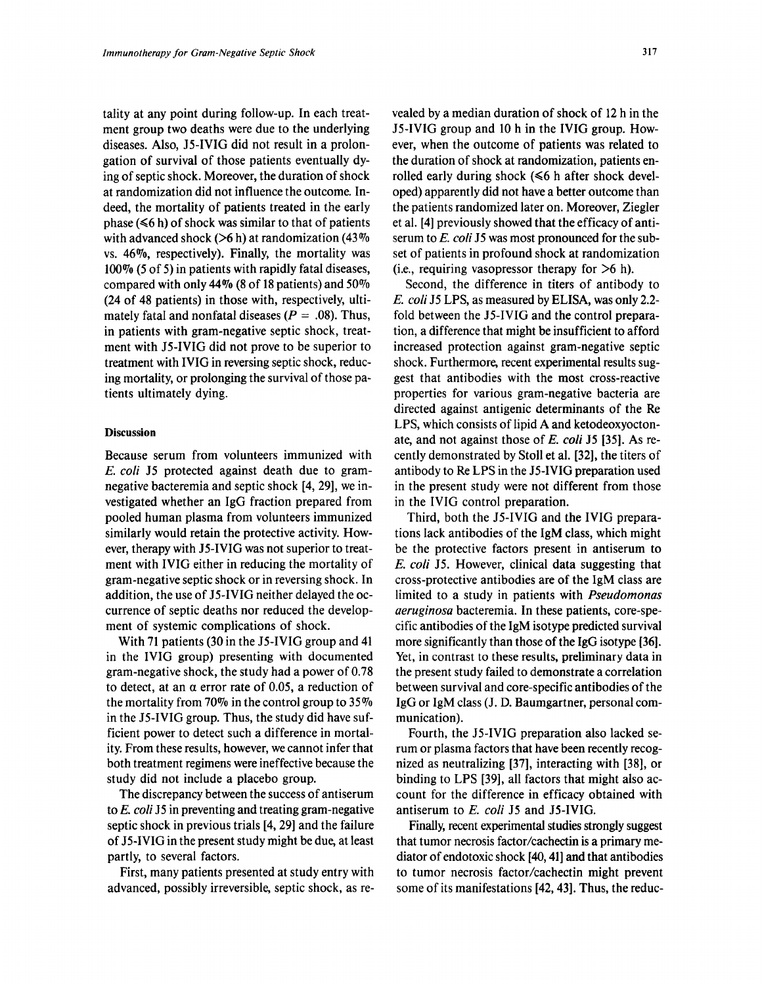tality at any point during follow-up. In each treatment group two deaths were due to the underlying diseases. Also, J5-IVIG did not result in a prolongation of survival of those patients eventually dying of septic shock. Moreover, the duration of shock at randomization did not influence the outcome. Indeed, the mortality of patients treated in the early phase  $(\leq 6 h)$  of shock was similar to that of patients with advanced shock ( $>6$  h) at randomization (43 $\%$ vs. 46%, respectively). Finally, the mortality was 100070 (5 of 5) in patients with rapidly fatal diseases, compared with only  $44\%$  (8 of 18 patients) and 50% (24 of 48 patients) in those with, respectively, ultimately fatal and nonfatal diseases ( $P = .08$ ). Thus, in patients with gram-negative septic shock, treatment with J5-IVIG did not prove to be superior to treatment with IVIG in reversing septic shock, reducing mortality, or prolonging the survival of those patients ultimately dying.

### Discussion

Because serum from volunteers immunized with E. *coli* J5 protected against death due to gramnegative bacteremia and septic shock [4, 29], we investigated whether an IgG fraction prepared from pooled human plasma from volunteers immunized similarly would retain the protective activity. However, therapy with J5-IVIG was not superior to treatment with IVIG either in reducing the mortality of gram-negative septic shock or in reversing shock. In addition, the use of J5-IVIG neither delayed the occurrence of septic deaths nor reduced the development of systemic complications of shock.

With 71 patients (30 in the J5-IVIG group and 41 in the IVIG group) presenting with documented gram-negative shock, the study had a power of 0.78 to detect, at an  $\alpha$  error rate of 0.05, a reduction of the mortality from 70% in the control group to  $35\%$ in the J5-IVIG group. Thus, the study did have sufficient power to detect such a difference in mortality. From these results, however, we cannot infer that both treatment regimens were ineffective because the study did not include a placebo group.

The discrepancy between the success of antiserum to *E. coli*J5 in preventing and treating gram-negative septic shock in previous trials [4, 29] and the failure of J5-IVIG in the present study might be due, at least partly, to several factors.

First, many patients presented at study entry with advanced, possibly irreversible, septic shock, as revealed by a median duration of shock of 12 h in the J5-IVIG group and 10 h in the IVIG group. However, when the outcome of patients was related to the duration of shock at randomization, patients enrolled early during shock  $(\leq 6$  h after shock developed) apparently did not have a better outcome than the patients randomized later on. Moreover, Ziegler et al. [4] previously showed that the efficacy of antiserum to *E. coli*J5 was most pronounced for the subset of patients in profound shock at randomization (i.e., requiring vasopressor therapy for  $>6$  h).

Second, the difference in titers of antibody to *E. coli*J5 LPS, as measured by ELISA, was only 2.2 fold between the J5-IVIG and the control preparation, a difference that might be insufficient to afford increased protection against gram-negative septic shock. Furthermore, recent experimental results suggest that antibodies with the most cross-reactive properties for various gram-negative bacteria are directed against antigenic determinants of the Re LPS, which consists of lipid A and ketodeoxyoctonate, and not against those of *E. coli*J5 [35]. As recently demonstrated by Stoll et al. [32], the titers of antibody to Re LPS in the J5-IVIG preparation used in the present study were not different from those in the IVIG control preparation.

Third, both the J5-IVIG and the IVIG preparations lack antibodies of the IgM class, which might be the protective factors present in antiserum to E. *coli* J5. However, clinical data suggesting that cross-protective antibodies are of the IgM class are limited to a study in patients with *Pseudomonas aeruginosa* bacteremia. In these patients, core-specific antibodies of the IgM isotype predicted survival more significantly than those of the IgG isotype [36]. Yet, in contrast to these results, preliminary data in the present study failed to demonstrate a correlation between survival and core-specific antibodies of the IgG or IgM class (J. D. Baumgartner, personal communication).

Fourth, the J5-IVIG preparation also lacked serum or plasma factors that have been recently recognized as neutralizing [37], interacting with [38], or binding to LPS [39], all factors that might also account for the difference in efficacy obtained with antiserum to *E. coli* J5 and J5-IVIG.

Finally, recent experimental studies strongly suggest that tumor necrosis factor/cachectin is a primary mediator of endotoxic shock [40,41] and that antibodies to tumor necrosis factor/cachectin might prevent some of its manifestations [42, 43]. Thus, the reduc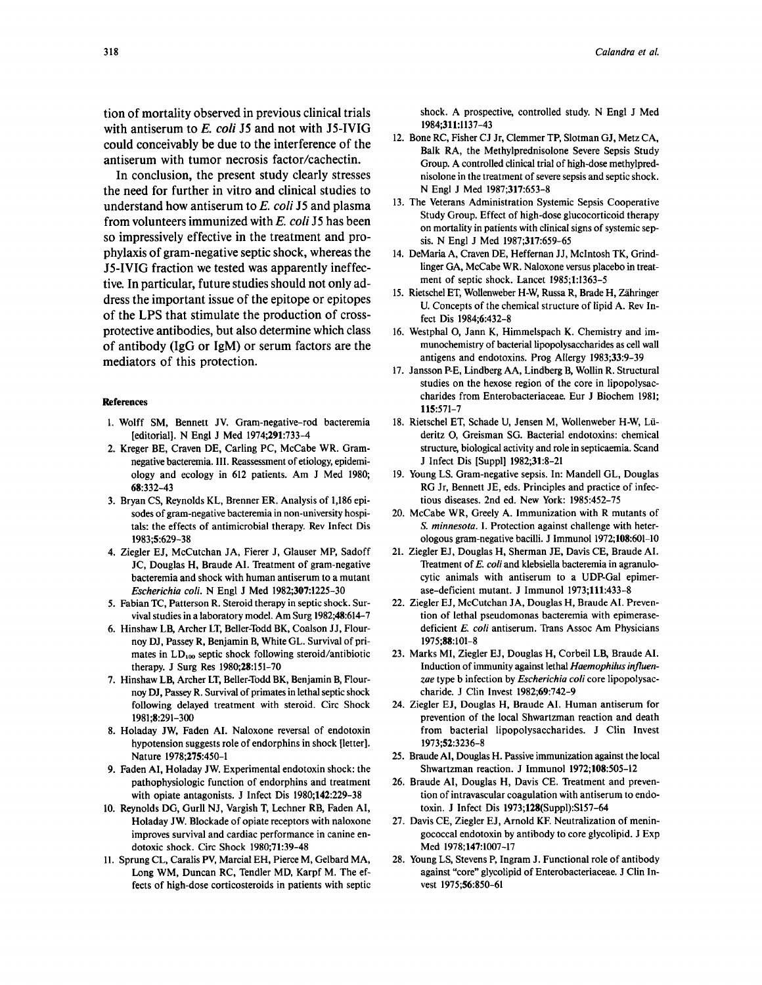tion of mortality observed in previous clinical trials with antiserum to E. coli J5 and not with J5-IVIG could conceivably be due to the interference of the antiserum with tumor necrosis factor/cachectin.

**In** conclusion, the present study clearly stresses the need for further in vitro and clinical studies to understand how antiserum to E. *coli*J5 and plasma from volunteers immunized with E. *coli*J5 has been so impressively effective in the treatment and prophylaxis of gram-negative septic shock, whereas the J5-IVIG fraction we tested was apparently ineffective.**In**particular, future studies should not only address the important issue of the epitope or epitopes of the LPS that stimulate the production of crossprotective antibodies, but also determine which class of antibody (IgG or IgM) or serum factors are the mediators of this protection.

## References

- I. Wolff SM, Bennett JV. Gram-negative-rod bacteremia [editorial]. N Engl J Med 1974;291:733-4
- 2. Kreger BE, Craven DE, Carling PC, McCabe WR. Gramnegative bacteremia. III. Reassessment of etiology, epidemiology and ecology in 612 patients. Am J Med 1980; 68:332-43
- 3. Bryan CS, Reynolds KL, Brenner ER. Analysis of 1,186episodes of gram-negative bacteremia in non-university hospitals: the effects of antimicrobial therapy. Rev Infect Dis 1983;5:629-38
- 4. Ziegler EJ, McCutchan JA, Fierer J, Glauser MP, Sadoff JC, Douglas H, Braude AI. Treatment of gram-negative bacteremia and shock with human antiserum to a mutant *Escherichia coli.* N Engl J Med 1982;307:1225-30
- 5. Fabian TC, Patterson R. Steroid therapy in septic shock. Survival studies in a laboratory model. Am Surg 1982;48:614-7
- 6. Hinshaw LB, Archer LT, Beller-Todd BK, Coalson 11, Flournoy DJ, Passey R, Benjamin B, White GL. Survival of primates in  $LD_{100}$  septic shock following steroid/antibiotic therapy. J Surg Res 1980;28:151-70
- 7. Hinshaw LB, Archer LT, Beller-Todd BK, Benjamin B, Flournoy DJ, Passey R. Survival of primatesin lethal septic shock following delayed treatment with steroid. Circ Shock 1981;8:291-300
- 8. Holaday JW, Faden AI. Naloxone reversal of endotoxin hypotension suggests role of endorphins in shock [letter]. Nature 1978;275:450-1
- 9. Faden AI, Holaday Jw. Experimental endotoxin shock: the pathophysiologic function of endorphins and treatment with opiate antagonists. J Infect Dis 1980;142:229-38
- 10. Reynolds DG, Gurll NJ, Vargish T, Lechner RB, Faden AI, Holaday JW. Blockade of opiate receptors with naloxone improves survival and cardiac performance in canine endotoxic shock. Circ Shock 1980;71:39-48
- 11. Sprung CL, Caralis PV, Marcial EH, Pierce M, Gelbard MA, Long WM, Duncan RC, Tendler MD, Karpf M. The effects of high-dose corticosteroids in patients with septic

shock. A prospective, controlled study. N Engl J Med 1984;311:1137-43

- 12. Bone RC, Fisher CJ Jr, Clemmer TP, Siotman GJ, Metz CA, Balk RA, the Methylprednisolone Severe Sepsis Study Group. A controlled clinical trial of high-dose methylprednisolone in the treatment of severe sepsis and septic shock. N Engl J Med 1987;317:653-8
- 13. The Veterans Administration Systemic Sepsis Cooperative Study Group. Effect of high-dose glucocorticoid therapy on mortality in patients with clinical signs of systemic sepsis. N Engl J Med 1987;317:659-65
- 14. DeMaria A, Craven DE, Heffernan 11, McIntosh TK, Grindlinger GA, McCabe WR. Naloxone versus placebo in treatment of septic shock. Lancet 1985;1:1363-5
- 15. Rietschel ET, Wollenweber H-W, Russa R, Brade H, Zahringer U. Concepts of the chemical structure of lipid A. Rev Infect Dis 1984;6:432-8
- 16. Westphal 0, Jann K, Himmelspach K. Chemistry and immunochemistry of bacterial lipopolysaccharides as cell wall antigens and endotoxins. Prog Allergy 1983;33:9-39
- 17. Jansson P-E, Lindberg AA, Lindberg B, Wollin R. Structural studies on the hexose region of the core in lipopolysaccharides from Enterobacteriaceae. Eur J Biochem 1981; 115:571-7
- 18. Rietschel ET, Schade U, Jensen M, Wollenweber H-W, Liideritz 0, Greisman SG. Bacterial endotoxins: chemical structure, biological activity and role in septicaemia. Scand J Infect Dis [Suppl] 1982;31:8-21
- 19. Young LS. Gram-negative sepsis. In: Mandell GL, Douglas RG Jr, Bennett JE, eds. Principles and practice of infectious diseases. 2nd ed. New York: 1985:452-75
- 20. McCabe WR, Greely A. Immunization with R mutants of S. *minnesota.* I. Protection against challenge with heterologous gram-negative bacilli. J Immunol 1972;108:601-10
- 21. Ziegler EJ, Douglas H, Sherman JE, Davis CE, Braude AI. Treatment of *E. coli* and klebsiella bacteremia in agranulocytic animals with antiserum to a UDP-Gal epimerase-deficient mutant. J Immunol 1973;111:433-8
- 22. Ziegler EJ, McCutchan JA, Douglas H, Braude AI. Prevention of lethal pseudomonas bacteremia with epimerasedeficient *E. coli* antiserum. Trans Assoc Am Physicians 1975;88:101-8
- 23. Marks MI, Ziegler EJ, Douglas H, Corbeil LB, Braude AI. Induction of immunity against lethal *Haemophilus influenzae* type b infection by *Escherichia coli* core lipopolysaccharide. J Clin Invest 1982;69:742-9
- 24. Ziegler EJ, Douglas H, Braude AI. Human antiserum for prevention of the local Shwartzman reaction and death from bacterial lipopolysaccharides. J Clin Invest 1973;52:3236-8
- 25. Braude AI, Douglas H. Passive immunization against the local Shwartzman reaction. J Immunol 1972;108:505-12
- 26. Braude AI, Douglas H, Davis CE. Treatment and prevention of intravascular coagulation with antiserum to endotoxin. J Infect Dis 1973;128(Suppl):SI57-64
- 27. Davis CE, Ziegler EJ, Arnold KF. Neutralization of meningococcal endotoxin by antibody to core glycolipid. J Exp Med 1978;147:1007-17
- 28. Young LS, Stevens P, Ingram J. Functional role of antibody against "core" glycolipid of Enterobacteriaceae. J Clin Invest 1975;56:850-61